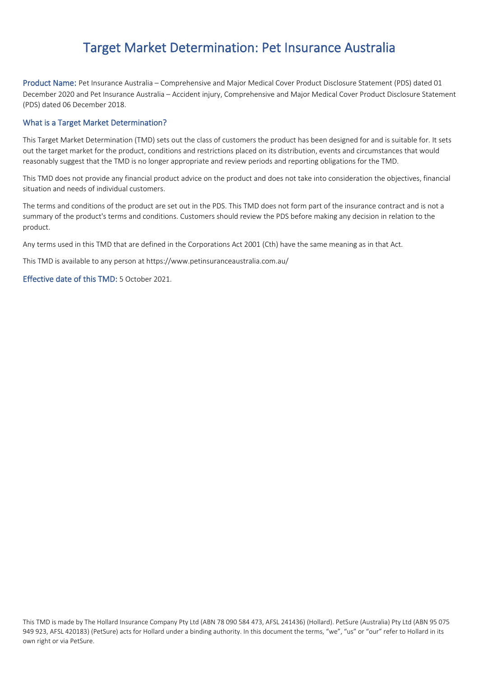# Target Market Determination: Pet Insurance Australia

Product Name: Pet Insurance Australia – Comprehensive and Major Medical Cover Product Disclosure Statement (PDS) dated 01 December 2020 and Pet Insurance Australia – Accident injury, Comprehensive and Major Medical Cover Product Disclosure Statement (PDS) dated 06 December 2018.

#### What is a Target Market Determination?

This Target Market Determination (TMD) sets out the class of customers the product has been designed for and is suitable for. It sets out the target market for the product, conditions and restrictions placed on its distribution, events and circumstances that would reasonably suggest that the TMD is no longer appropriate and review periods and reporting obligations for the TMD.

This TMD does not provide any financial product advice on the product and does not take into consideration the objectives, financial situation and needs of individual customers.

The terms and conditions of the product are set out in the PDS. This TMD does not form part of the insurance contract and is not a summary of the product's terms and conditions. Customers should review the PDS before making any decision in relation to the product.

Any terms used in this TMD that are defined in the Corporations Act 2001 (Cth) have the same meaning as in that Act.

This TMD is available to any person at https://www.petinsuranceaustralia.com.au/

Effective date of this TMD: 5 October 2021.

This TMD is made by The Hollard Insurance Company Pty Ltd (ABN 78 090 584 473, AFSL 241436) (Hollard). PetSure (Australia) Pty Ltd (ABN 95 075 949 923, AFSL 420183) (PetSure) acts for Hollard under a binding authority. In this document the terms, "we", "us" or "our" refer to Hollard in its own right or via PetSure.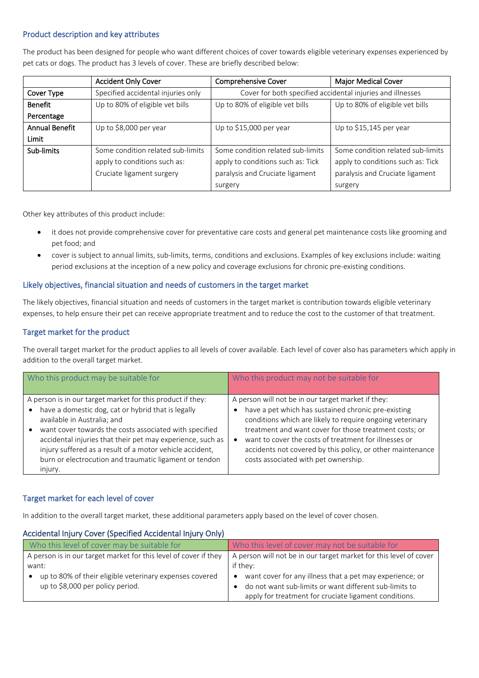#### Product description and key attributes

The product has been designed for people who want different choices of cover towards eligible veterinary expenses experienced by pet cats or dogs. The product has 3 levels of cover. These are briefly described below:

|                       | <b>Accident Only Cover</b>         | <b>Comprehensive Cover</b>        | Major Medical Cover                                        |
|-----------------------|------------------------------------|-----------------------------------|------------------------------------------------------------|
| Cover Type            | Specified accidental injuries only |                                   | Cover for both specified accidental injuries and illnesses |
| <b>Benefit</b>        | Up to 80% of eligible vet bills    | Up to 80% of eligible vet bills   | Up to 80% of eligible vet bills                            |
| Percentage            |                                    |                                   |                                                            |
| <b>Annual Benefit</b> | Up to \$8,000 per year             | Up to \$15,000 per year           | Up to \$15,145 per year                                    |
| Limit                 |                                    |                                   |                                                            |
| Sub-limits            | Some condition related sub-limits  | Some condition related sub-limits | Some condition related sub-limits                          |
|                       | apply to conditions such as:       | apply to conditions such as: Tick | apply to conditions such as: Tick                          |
|                       | Cruciate ligament surgery          | paralysis and Cruciate ligament   | paralysis and Cruciate ligament                            |
|                       |                                    | surgery                           | surgery                                                    |

Other key attributes of this product include:

- it does not provide comprehensive cover for preventative care costs and general pet maintenance costs like grooming and pet food; and
- cover is subject to annual limits, sub-limits, terms, conditions and exclusions. Examples of key exclusions include: waiting period exclusions at the inception of a new policy and coverage exclusions for chronic pre-existing conditions.

# Likely objectives, financial situation and needs of customers in the target market

The likely objectives, financial situation and needs of customers in the target market is contribution towards eligible veterinary expenses, to help ensure their pet can receive appropriate treatment and to reduce the cost to the customer of that treatment.

# Target market for the product

The overall target market for the product applies to all levels of cover available. Each level of cover also has parameters which apply in addition to the overall target market.

| Who this product may be suitable for                                                                                                                                                                                                                                                                                                                                                                     | Who this product may not be suitable for                                                                                                                                                                                                                                                                                                                                                        |
|----------------------------------------------------------------------------------------------------------------------------------------------------------------------------------------------------------------------------------------------------------------------------------------------------------------------------------------------------------------------------------------------------------|-------------------------------------------------------------------------------------------------------------------------------------------------------------------------------------------------------------------------------------------------------------------------------------------------------------------------------------------------------------------------------------------------|
| A person is in our target market for this product if they:<br>have a domestic dog, cat or hybrid that is legally<br>available in Australia; and<br>want cover towards the costs associated with specified<br>accidental injuries that their pet may experience, such as<br>injury suffered as a result of a motor vehicle accident,<br>burn or electrocution and traumatic ligament or tendon<br>injury. | A person will not be in our target market if they:<br>have a pet which has sustained chronic pre-existing<br>conditions which are likely to require ongoing veterinary<br>treatment and want cover for those treatment costs; or<br>want to cover the costs of treatment for illnesses or<br>accidents not covered by this policy, or other maintenance<br>costs associated with pet ownership. |

# Target market for each level of cover

In addition to the overall target market, these additional parameters apply based on the level of cover chosen.

#### Accidental Injury Cover (Specified Accidental Injury Only)

| Who this level of cover may be suitable for                                                 | Who this level of cover may not be suitable for                                                                                                                                          |  |
|---------------------------------------------------------------------------------------------|------------------------------------------------------------------------------------------------------------------------------------------------------------------------------------------|--|
| A person is in our target market for this level of cover if they<br>want:                   | A person will not be in our target market for this level of cover<br>if they:                                                                                                            |  |
| up to 80% of their eligible veterinary expenses covered<br>up to \$8,000 per policy period. | want cover for any illness that a pet may experience; or<br>$\bullet$<br>do not want sub-limits or want different sub-limits to<br>apply for treatment for cruciate ligament conditions. |  |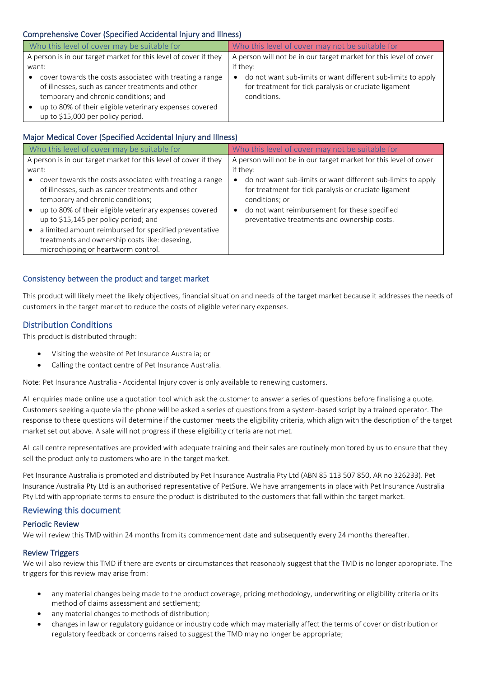# Comprehensive Cover (Specified Accidental Injury and Illness)

| Who this level of cover may be suitable for                                                                                                                                                                                                                         | Who this level of cover may not be suitable for                                                                                      |  |
|---------------------------------------------------------------------------------------------------------------------------------------------------------------------------------------------------------------------------------------------------------------------|--------------------------------------------------------------------------------------------------------------------------------------|--|
| A person is in our target market for this level of cover if they                                                                                                                                                                                                    | A person will not be in our target market for this level of cover                                                                    |  |
| want:                                                                                                                                                                                                                                                               | if they:                                                                                                                             |  |
| cover towards the costs associated with treating a range<br>$\bullet$<br>of illnesses, such as cancer treatments and other<br>temporary and chronic conditions; and<br>up to 80% of their eligible veterinary expenses covered<br>up to \$15,000 per policy period. | do not want sub-limits or want different sub-limits to apply<br>for treatment for tick paralysis or cruciate ligament<br>conditions. |  |

# Major Medical Cover (Specified Accidental Injury and Illness)

| Who this level of cover may be suitable for                                                                                                                                                                                                                                                                                                                                                               | Who this level of cover may not be suitable for                                                                                                                                                                                                       |  |
|-----------------------------------------------------------------------------------------------------------------------------------------------------------------------------------------------------------------------------------------------------------------------------------------------------------------------------------------------------------------------------------------------------------|-------------------------------------------------------------------------------------------------------------------------------------------------------------------------------------------------------------------------------------------------------|--|
| A person is in our target market for this level of cover if they                                                                                                                                                                                                                                                                                                                                          | A person will not be in our target market for this level of cover                                                                                                                                                                                     |  |
| want:                                                                                                                                                                                                                                                                                                                                                                                                     | if they:                                                                                                                                                                                                                                              |  |
| cover towards the costs associated with treating a range<br>of illnesses, such as cancer treatments and other<br>temporary and chronic conditions;<br>up to 80% of their eligible veterinary expenses covered<br>up to \$15,145 per policy period; and<br>a limited amount reimbursed for specified preventative<br>treatments and ownership costs like: desexing,<br>microchipping or heartworm control. | do not want sub-limits or want different sub-limits to apply<br>for treatment for tick paralysis or cruciate ligament<br>conditions; or<br>do not want reimbursement for these specified<br>$\bullet$<br>preventative treatments and ownership costs. |  |

# Consistency between the product and target market

This product will likely meet the likely objectives, financial situation and needs of the target market because it addresses the needs of customers in the target market to reduce the costs of eligible veterinary expenses.

# Distribution Conditions

This product is distributed through:

- Visiting the website of Pet Insurance Australia; or
- Calling the contact centre of Pet Insurance Australia.

Note: Pet Insurance Australia - Accidental Injury cover is only available to renewing customers.

All enquiries made online use a quotation tool which ask the customer to answer a series of questions before finalising a quote. Customers seeking a quote via the phone will be asked a series of questions from a system-based script by a trained operator. The response to these questions will determine if the customer meets the eligibility criteria, which align with the description of the target market set out above. A sale will not progress if these eligibility criteria are not met.

All call centre representatives are provided with adequate training and their sales are routinely monitored by us to ensure that they sell the product only to customers who are in the target market.

Pet Insurance Australia is promoted and distributed by Pet Insurance Australia Pty Ltd (ABN 85 113 507 850, AR no 326233). Pet Insurance Australia Pty Ltd is an authorised representative of PetSure. We have arrangements in place with Pet Insurance Australia Pty Ltd with appropriate terms to ensure the product is distributed to the customers that fall within the target market.

#### Reviewing this document

#### Periodic Review

We will review this TMD within 24 months from its commencement date and subsequently every 24 months thereafter.

#### Review Triggers

We will also review this TMD if there are events or circumstances that reasonably suggest that the TMD is no longer appropriate. The triggers for this review may arise from:

- any material changes being made to the product coverage, pricing methodology, underwriting or eligibility criteria or its method of claims assessment and settlement;
- any material changes to methods of distribution;
- changes in law or regulatory guidance or industry code which may materially affect the terms of cover or distribution or regulatory feedback or concerns raised to suggest the TMD may no longer be appropriate;